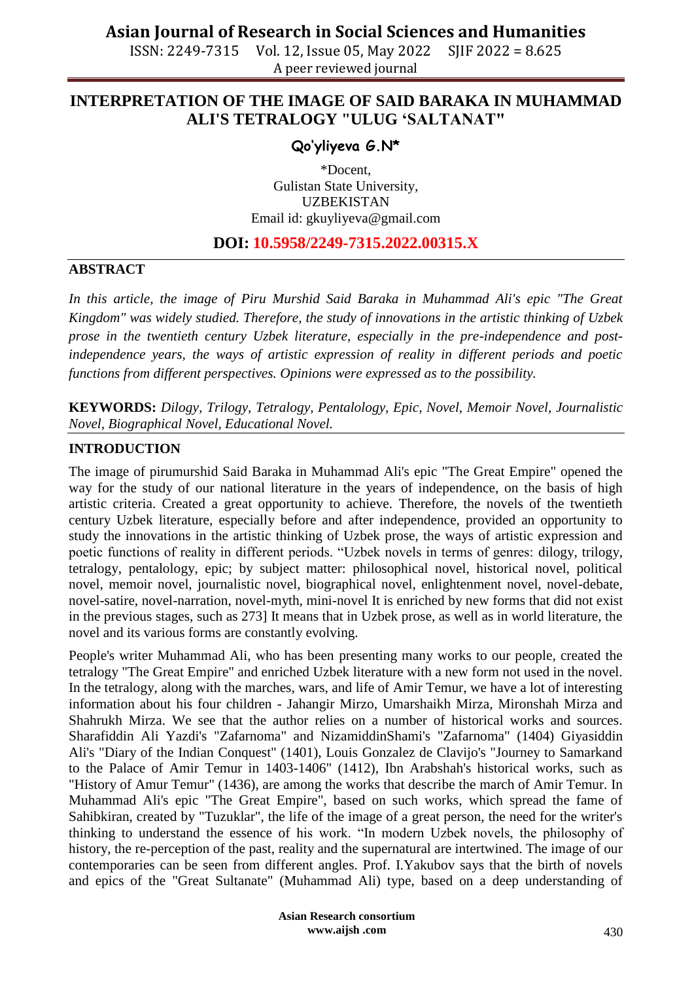ISSN: 2249-7315 Vol. 12, Issue 05, May 2022 SJIF 2022 = 8.625 A peer reviewed journal

## **INTERPRETATION OF THE IMAGE OF SAID BARAKA IN MUHAMMAD ALI'S TETRALOGY "ULUG 'SALTANAT"**

### **Qo'yliyeva G.N\***

\*Docent, Gulistan State University, UZBEKISTAN Email id: [gkuyliyeva@gmail.com](mailto:gkuyliyeva@gmail.com)

### **DOI: 10.5958/2249-7315.2022.00315.X**

#### **ABSTRACT**

*In this article, the image of Piru Murshid Said Baraka in Muhammad Ali's epic "The Great Kingdom" was widely studied. Therefore, the study of innovations in the artistic thinking of Uzbek prose in the twentieth century Uzbek literature, especially in the pre-independence and postindependence years, the ways of artistic expression of reality in different periods and poetic functions from different perspectives. Opinions were expressed as to the possibility.*

**KEYWORDS:** *Dilogy, Trilogy, Tetralogy, Pentalology, Epic, Novel, Memoir Novel, Journalistic Novel, Biographical Novel, Educational Novel.*

#### **INTRODUCTION**

The image of pirumurshid Said Baraka in Muhammad Ali's epic "The Great Empire" opened the way for the study of our national literature in the years of independence, on the basis of high artistic criteria. Created a great opportunity to achieve. Therefore, the novels of the twentieth century Uzbek literature, especially before and after independence, provided an opportunity to study the innovations in the artistic thinking of Uzbek prose, the ways of artistic expression and poetic functions of reality in different periods. "Uzbek novels in terms of genres: dilogy, trilogy, tetralogy, pentalology, epic; by subject matter: philosophical novel, historical novel, political novel, memoir novel, journalistic novel, biographical novel, enlightenment novel, novel-debate, novel-satire, novel-narration, novel-myth, mini-novel It is enriched by new forms that did not exist in the previous stages, such as 273] It means that in Uzbek prose, as well as in world literature, the novel and its various forms are constantly evolving.

People's writer Muhammad Ali, who has been presenting many works to our people, created the tetralogy "The Great Empire" and enriched Uzbek literature with a new form not used in the novel. In the tetralogy, along with the marches, wars, and life of Amir Temur, we have a lot of interesting information about his four children - Jahangir Mirzo, Umarshaikh Mirza, Mironshah Mirza and Shahrukh Mirza. We see that the author relies on a number of historical works and sources. Sharafiddin Ali Yazdi's "Zafarnoma" and NizamiddinShami's "Zafarnoma" (1404) Giyasiddin Ali's "Diary of the Indian Conquest" (1401), Louis Gonzalez de Clavijo's "Journey to Samarkand to the Palace of Amir Temur in 1403-1406" (1412), Ibn Arabshah's historical works, such as "History of Amur Temur" (1436), are among the works that describe the march of Amir Temur. In Muhammad Ali's epic "The Great Empire", based on such works, which spread the fame of Sahibkiran, created by "Tuzuklar", the life of the image of a great person, the need for the writer's thinking to understand the essence of his work. "In modern Uzbek novels, the philosophy of history, the re-perception of the past, reality and the supernatural are intertwined. The image of our contemporaries can be seen from different angles. Prof. I.Yakubov says that the birth of novels and epics of the "Great Sultanate" (Muhammad Ali) type, based on a deep understanding of

> **Asian Research consortium www.aijsh .com**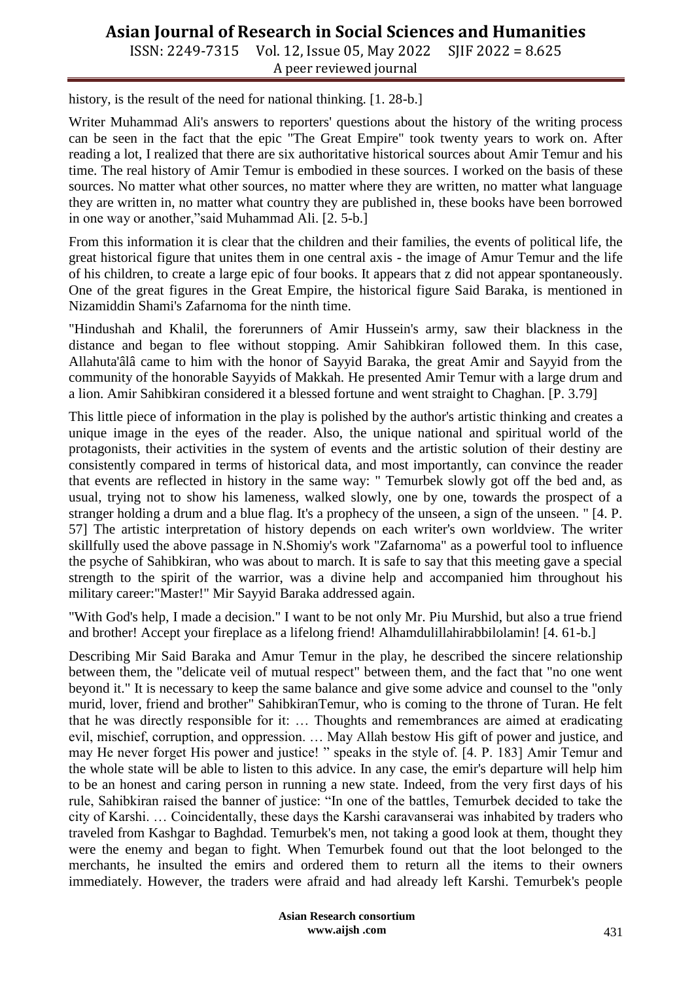# **Asian Journal of Research in Social Sciences and Humanities**

ISSN: 2249-7315 Vol. 12, Issue 05, May 2022 SJIF 2022 = 8.625 A peer reviewed journal

history, is the result of the need for national thinking. [1. 28-b.]

Writer Muhammad Ali's answers to reporters' questions about the history of the writing process can be seen in the fact that the epic "The Great Empire" took twenty years to work on. After reading a lot, I realized that there are six authoritative historical sources about Amir Temur and his time. The real history of Amir Temur is embodied in these sources. I worked on the basis of these sources. No matter what other sources, no matter where they are written, no matter what language they are written in, no matter what country they are published in, these books have been borrowed in one way or another,"said Muhammad Ali. [2. 5-b.]

From this information it is clear that the children and their families, the events of political life, the great historical figure that unites them in one central axis - the image of Amur Temur and the life of his children, to create a large epic of four books. It appears that z did not appear spontaneously. One of the great figures in the Great Empire, the historical figure Said Baraka, is mentioned in Nizamiddin Shami's Zafarnoma for the ninth time.

"Hindushah and Khalil, the forerunners of Amir Hussein's army, saw their blackness in the distance and began to flee without stopping. Amir Sahibkiran followed them. In this case, Allahuta'âlâ came to him with the honor of Sayyid Baraka, the great Amir and Sayyid from the community of the honorable Sayyids of Makkah. He presented Amir Temur with a large drum and a lion. Amir Sahibkiran considered it a blessed fortune and went straight to Chaghan. [P. 3.79]

This little piece of information in the play is polished by the author's artistic thinking and creates a unique image in the eyes of the reader. Also, the unique national and spiritual world of the protagonists, their activities in the system of events and the artistic solution of their destiny are consistently compared in terms of historical data, and most importantly, can convince the reader that events are reflected in history in the same way: " Temurbek slowly got off the bed and, as usual, trying not to show his lameness, walked slowly, one by one, towards the prospect of a stranger holding a drum and a blue flag. It's a prophecy of the unseen, a sign of the unseen. " [4. P. 57] The artistic interpretation of history depends on each writer's own worldview. The writer skillfully used the above passage in N.Shomiy's work "Zafarnoma" as a powerful tool to influence the psyche of Sahibkiran, who was about to march. It is safe to say that this meeting gave a special strength to the spirit of the warrior, was a divine help and accompanied him throughout his military career:"Master!" Mir Sayyid Baraka addressed again.

"With God's help, I made a decision." I want to be not only Mr. Piu Murshid, but also a true friend and brother! Accept your fireplace as a lifelong friend! Alhamdulillahirabbilolamin! [4. 61-b.]

Describing Mir Said Baraka and Amur Temur in the play, he described the sincere relationship between them, the "delicate veil of mutual respect" between them, and the fact that "no one went beyond it." It is necessary to keep the same balance and give some advice and counsel to the "only murid, lover, friend and brother" SahibkiranTemur, who is coming to the throne of Turan. He felt that he was directly responsible for it: … Thoughts and remembrances are aimed at eradicating evil, mischief, corruption, and oppression. … May Allah bestow His gift of power and justice, and may He never forget His power and justice! " speaks in the style of. [4. P. 183] Amir Temur and the whole state will be able to listen to this advice. In any case, the emir's departure will help him to be an honest and caring person in running a new state. Indeed, from the very first days of his rule, Sahibkiran raised the banner of justice: "In one of the battles, Temurbek decided to take the city of Karshi. … Coincidentally, these days the Karshi caravanserai was inhabited by traders who traveled from Kashgar to Baghdad. Temurbek's men, not taking a good look at them, thought they were the enemy and began to fight. When Temurbek found out that the loot belonged to the merchants, he insulted the emirs and ordered them to return all the items to their owners immediately. However, the traders were afraid and had already left Karshi. Temurbek's people

> **Asian Research consortium www.aijsh .com**